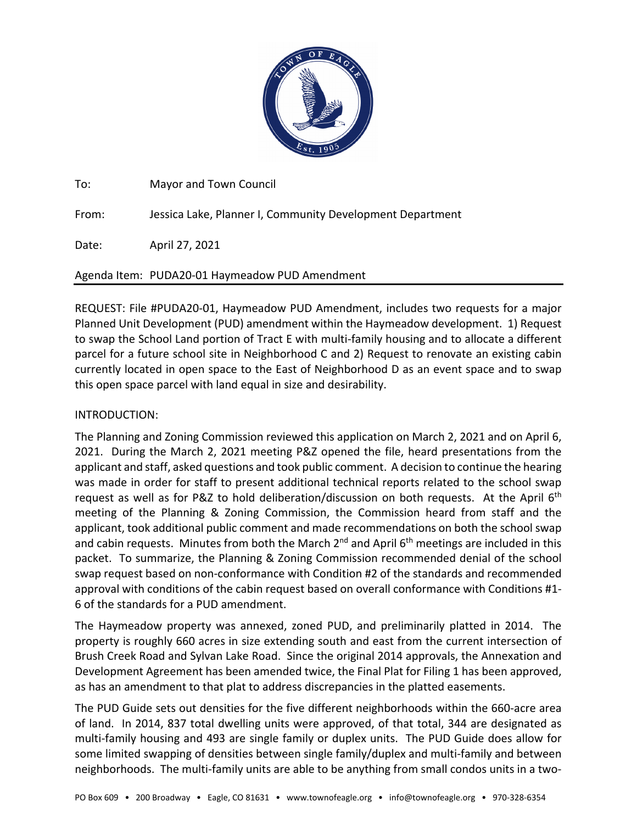

To: Mayor and Town Council

From: Jessica Lake, Planner I, Community Development Department

Date: April 27, 2021

# Agenda Item: PUDA20‐01 Haymeadow PUD Amendment

REQUEST: File #PUDA20‐01, Haymeadow PUD Amendment, includes two requests for a major Planned Unit Development (PUD) amendment within the Haymeadow development. 1) Request to swap the School Land portion of Tract E with multi-family housing and to allocate a different parcel for a future school site in Neighborhood C and 2) Request to renovate an existing cabin currently located in open space to the East of Neighborhood D as an event space and to swap this open space parcel with land equal in size and desirability.

## INTRODUCTION:

The Planning and Zoning Commission reviewed this application on March 2, 2021 and on April 6, 2021. During the March 2, 2021 meeting P&Z opened the file, heard presentations from the applicant and staff, asked questions and took public comment. A decision to continue the hearing was made in order for staff to present additional technical reports related to the school swap request as well as for P&Z to hold deliberation/discussion on both requests. At the April 6<sup>th</sup> meeting of the Planning & Zoning Commission, the Commission heard from staff and the applicant, took additional public comment and made recommendations on both the school swap and cabin requests. Minutes from both the March  $2^{nd}$  and April  $6^{th}$  meetings are included in this packet. To summarize, the Planning & Zoning Commission recommended denial of the school swap request based on non‐conformance with Condition #2 of the standards and recommended approval with conditions of the cabin request based on overall conformance with Conditions #1‐ 6 of the standards for a PUD amendment.

The Haymeadow property was annexed, zoned PUD, and preliminarily platted in 2014. The property is roughly 660 acres in size extending south and east from the current intersection of Brush Creek Road and Sylvan Lake Road. Since the original 2014 approvals, the Annexation and Development Agreement has been amended twice, the Final Plat for Filing 1 has been approved, as has an amendment to that plat to address discrepancies in the platted easements.

The PUD Guide sets out densities for the five different neighborhoods within the 660‐acre area of land. In 2014, 837 total dwelling units were approved, of that total, 344 are designated as multi-family housing and 493 are single family or duplex units. The PUD Guide does allow for some limited swapping of densities between single family/duplex and multi-family and between neighborhoods. The multi-family units are able to be anything from small condos units in a two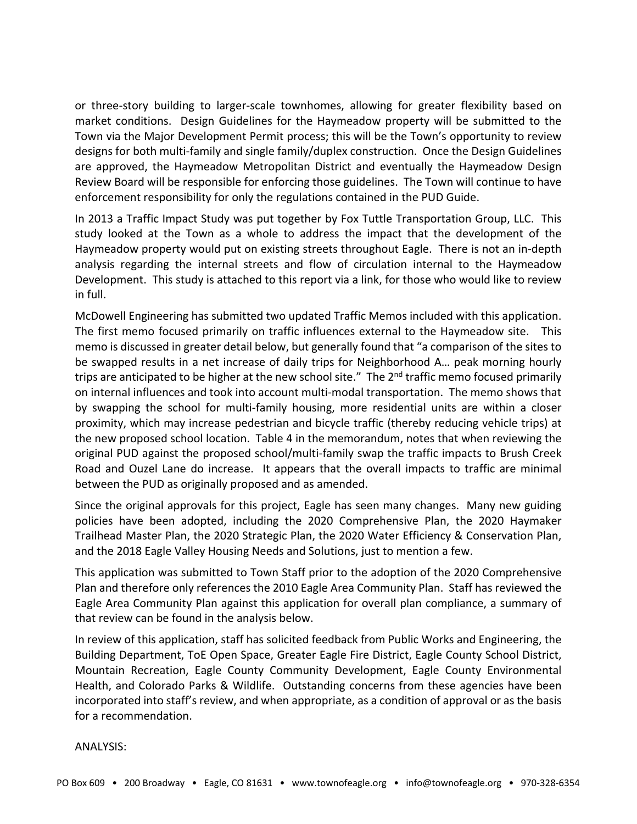or three‐story building to larger‐scale townhomes, allowing for greater flexibility based on market conditions. Design Guidelines for the Haymeadow property will be submitted to the Town via the Major Development Permit process; this will be the Town's opportunity to review designs for both multi‐family and single family/duplex construction. Once the Design Guidelines are approved, the Haymeadow Metropolitan District and eventually the Haymeadow Design Review Board will be responsible for enforcing those guidelines. The Town will continue to have enforcement responsibility for only the regulations contained in the PUD Guide.

In 2013 a Traffic Impact Study was put together by Fox Tuttle Transportation Group, LLC. This study looked at the Town as a whole to address the impact that the development of the Haymeadow property would put on existing streets throughout Eagle. There is not an in‐depth analysis regarding the internal streets and flow of circulation internal to the Haymeadow Development. This study is attached to this report via a link, for those who would like to review in full.

McDowell Engineering has submitted two updated Traffic Memos included with this application. The first memo focused primarily on traffic influences external to the Haymeadow site. This memo is discussed in greater detail below, but generally found that "a comparison of the sites to be swapped results in a net increase of daily trips for Neighborhood A… peak morning hourly trips are anticipated to be higher at the new school site." The  $2^{nd}$  traffic memo focused primarily on internal influences and took into account multi‐modal transportation. The memo shows that by swapping the school for multi‐family housing, more residential units are within a closer proximity, which may increase pedestrian and bicycle traffic (thereby reducing vehicle trips) at the new proposed school location. Table 4 in the memorandum, notes that when reviewing the original PUD against the proposed school/multi‐family swap the traffic impacts to Brush Creek Road and Ouzel Lane do increase. It appears that the overall impacts to traffic are minimal between the PUD as originally proposed and as amended.

Since the original approvals for this project, Eagle has seen many changes. Many new guiding policies have been adopted, including the 2020 Comprehensive Plan, the 2020 Haymaker Trailhead Master Plan, the 2020 Strategic Plan, the 2020 Water Efficiency & Conservation Plan, and the 2018 Eagle Valley Housing Needs and Solutions, just to mention a few.

This application was submitted to Town Staff prior to the adoption of the 2020 Comprehensive Plan and therefore only references the 2010 Eagle Area Community Plan. Staff has reviewed the Eagle Area Community Plan against this application for overall plan compliance, a summary of that review can be found in the analysis below.

In review of this application, staff has solicited feedback from Public Works and Engineering, the Building Department, ToE Open Space, Greater Eagle Fire District, Eagle County School District, Mountain Recreation, Eagle County Community Development, Eagle County Environmental Health, and Colorado Parks & Wildlife. Outstanding concerns from these agencies have been incorporated into staff's review, and when appropriate, as a condition of approval or as the basis for a recommendation.

ANALYSIS: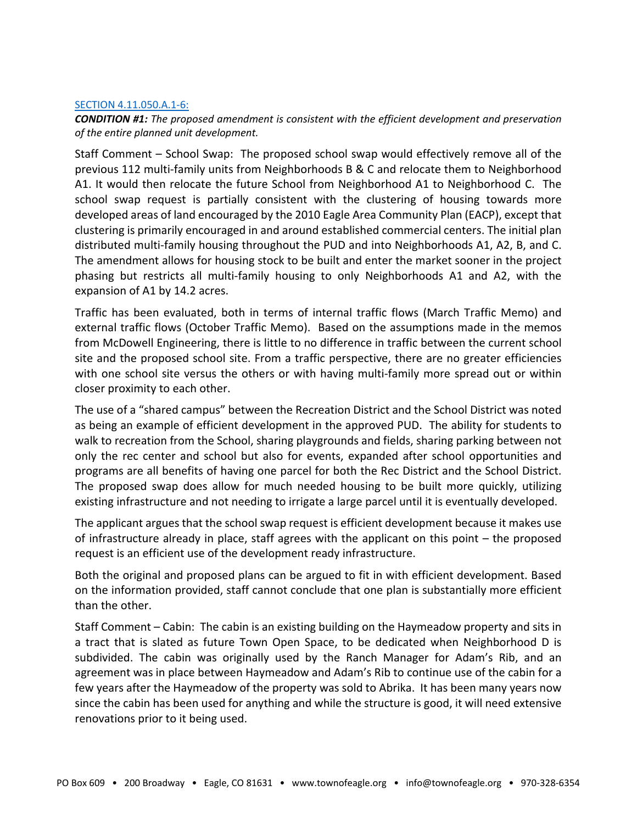#### SECTION 4.11.050.A.1‐6:

*CONDITION #1: The proposed amendment is consistent with the efficient development and preservation of the entire planned unit development.*

Staff Comment – School Swap: The proposed school swap would effectively remove all of the previous 112 multi‐family units from Neighborhoods B & C and relocate them to Neighborhood A1. It would then relocate the future School from Neighborhood A1 to Neighborhood C. The school swap request is partially consistent with the clustering of housing towards more developed areas of land encouraged by the 2010 Eagle Area Community Plan (EACP), except that clustering is primarily encouraged in and around established commercial centers. The initial plan distributed multi‐family housing throughout the PUD and into Neighborhoods A1, A2, B, and C. The amendment allows for housing stock to be built and enter the market sooner in the project phasing but restricts all multi-family housing to only Neighborhoods A1 and A2, with the expansion of A1 by 14.2 acres.

Traffic has been evaluated, both in terms of internal traffic flows (March Traffic Memo) and external traffic flows (October Traffic Memo). Based on the assumptions made in the memos from McDowell Engineering, there is little to no difference in traffic between the current school site and the proposed school site. From a traffic perspective, there are no greater efficiencies with one school site versus the others or with having multi-family more spread out or within closer proximity to each other.

The use of a "shared campus" between the Recreation District and the School District was noted as being an example of efficient development in the approved PUD. The ability for students to walk to recreation from the School, sharing playgrounds and fields, sharing parking between not only the rec center and school but also for events, expanded after school opportunities and programs are all benefits of having one parcel for both the Rec District and the School District. The proposed swap does allow for much needed housing to be built more quickly, utilizing existing infrastructure and not needing to irrigate a large parcel until it is eventually developed.

The applicant argues that the school swap request is efficient development because it makes use of infrastructure already in place, staff agrees with the applicant on this point – the proposed request is an efficient use of the development ready infrastructure.

Both the original and proposed plans can be argued to fit in with efficient development. Based on the information provided, staff cannot conclude that one plan is substantially more efficient than the other.

Staff Comment – Cabin: The cabin is an existing building on the Haymeadow property and sits in a tract that is slated as future Town Open Space, to be dedicated when Neighborhood D is subdivided. The cabin was originally used by the Ranch Manager for Adam's Rib, and an agreement was in place between Haymeadow and Adam's Rib to continue use of the cabin for a few years after the Haymeadow of the property was sold to Abrika. It has been many years now since the cabin has been used for anything and while the structure is good, it will need extensive renovations prior to it being used.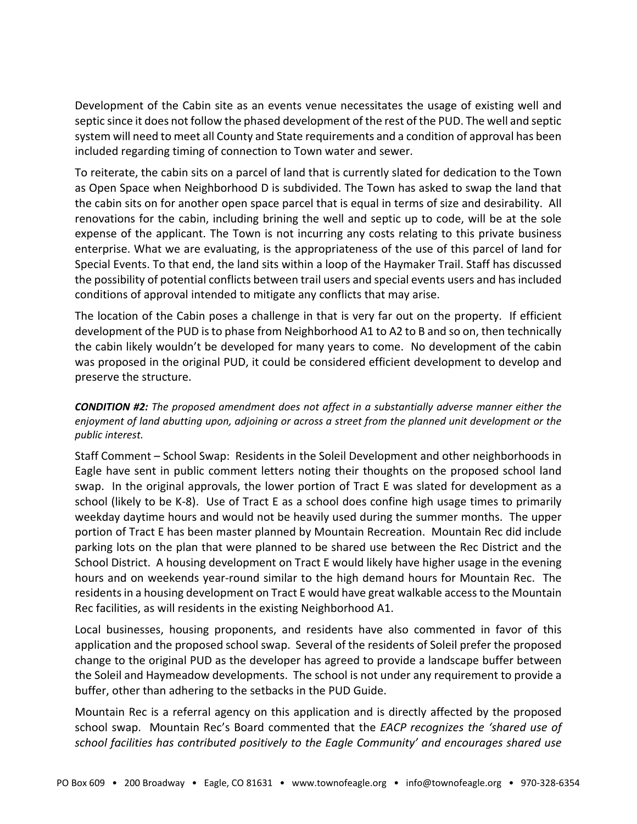Development of the Cabin site as an events venue necessitates the usage of existing well and septic since it does not follow the phased development of the rest of the PUD. The well and septic system will need to meet all County and State requirements and a condition of approval has been included regarding timing of connection to Town water and sewer.

To reiterate, the cabin sits on a parcel of land that is currently slated for dedication to the Town as Open Space when Neighborhood D is subdivided. The Town has asked to swap the land that the cabin sits on for another open space parcel that is equal in terms of size and desirability. All renovations for the cabin, including brining the well and septic up to code, will be at the sole expense of the applicant. The Town is not incurring any costs relating to this private business enterprise. What we are evaluating, is the appropriateness of the use of this parcel of land for Special Events. To that end, the land sits within a loop of the Haymaker Trail. Staff has discussed the possibility of potential conflicts between trail users and special events users and hasincluded conditions of approval intended to mitigate any conflicts that may arise.

The location of the Cabin poses a challenge in that is very far out on the property. If efficient development of the PUD is to phase from Neighborhood A1 to A2 to B and so on, then technically the cabin likely wouldn't be developed for many years to come. No development of the cabin was proposed in the original PUD, it could be considered efficient development to develop and preserve the structure.

# *CONDITION #2: The proposed amendment does not affect in a substantially adverse manner either the enjoyment of land abutting upon, adjoining or across a street from the planned unit development or the public interest.*

Staff Comment – School Swap: Residents in the Soleil Development and other neighborhoods in Eagle have sent in public comment letters noting their thoughts on the proposed school land swap. In the original approvals, the lower portion of Tract E was slated for development as a school (likely to be K‐8). Use of Tract E as a school does confine high usage times to primarily weekday daytime hours and would not be heavily used during the summer months. The upper portion of Tract E has been master planned by Mountain Recreation. Mountain Rec did include parking lots on the plan that were planned to be shared use between the Rec District and the School District. A housing development on Tract E would likely have higher usage in the evening hours and on weekends year‐round similar to the high demand hours for Mountain Rec. The residentsin a housing development on Tract E would have great walkable accessto the Mountain Rec facilities, as will residents in the existing Neighborhood A1.

Local businesses, housing proponents, and residents have also commented in favor of this application and the proposed school swap. Several of the residents of Soleil prefer the proposed change to the original PUD as the developer has agreed to provide a landscape buffer between the Soleil and Haymeadow developments. The school is not under any requirement to provide a buffer, other than adhering to the setbacks in the PUD Guide.

Mountain Rec is a referral agency on this application and is directly affected by the proposed school swap. Mountain Rec's Board commented that the *EACP recognizes the 'shared use of school facilities has contributed positively to the Eagle Community' and encourages shared use*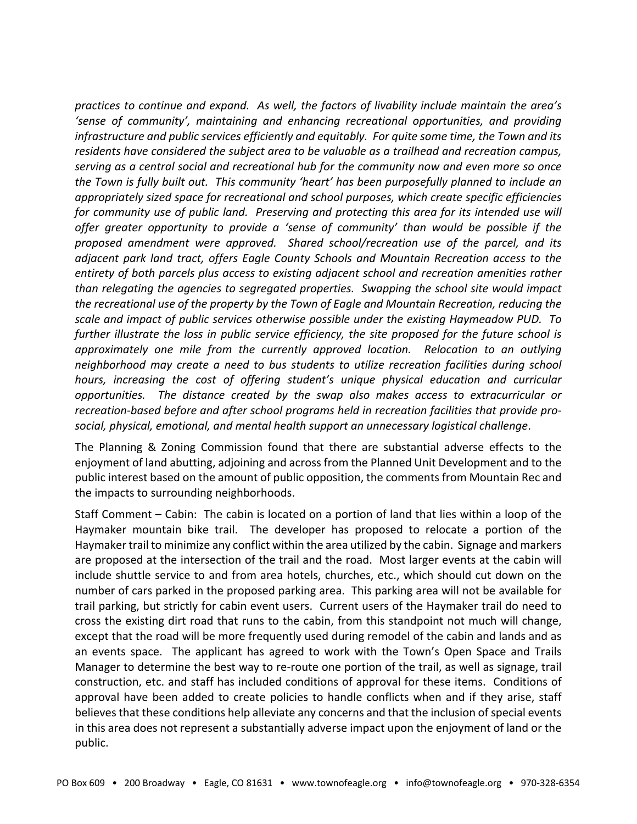*practices to continue and expand. As well, the factors of livability include maintain the area's 'sense of community', maintaining and enhancing recreational opportunities, and providing infrastructure and public services efficiently and equitably. For quite some time, the Town and its residents have considered the subject area to be valuable as a trailhead and recreation campus, serving as a central social and recreational hub for the community now and even more so once the Town is fully built out. This community 'heart' has been purposefully planned to include an appropriately sized space for recreational and school purposes, which create specific efficiencies for community use of public land. Preserving and protecting this area for its intended use will offer greater opportunity to provide a 'sense of community' than would be possible if the proposed amendment were approved. Shared school/recreation use of the parcel, and its adjacent park land tract, offers Eagle County Schools and Mountain Recreation access to the entirety of both parcels plus access to existing adjacent school and recreation amenities rather than relegating the agencies to segregated properties. Swapping the school site would impact the recreational use of the property by the Town of Eagle and Mountain Recreation, reducing the scale and impact of public services otherwise possible under the existing Haymeadow PUD. To further illustrate the loss in public service efficiency, the site proposed for the future school is approximately one mile from the currently approved location. Relocation to an outlying neighborhood may create a need to bus students to utilize recreation facilities during school hours, increasing the cost of offering student's unique physical education and curricular opportunities. The distance created by the swap also makes access to extracurricular or recreation‐based before and after school programs held in recreation facilities that provide pro‐ social, physical, emotional, and mental health support an unnecessary logistical challenge*.

The Planning & Zoning Commission found that there are substantial adverse effects to the enjoyment of land abutting, adjoining and across from the Planned Unit Development and to the public interest based on the amount of public opposition, the comments from Mountain Rec and the impacts to surrounding neighborhoods.

Staff Comment – Cabin: The cabin is located on a portion of land that lies within a loop of the Haymaker mountain bike trail. The developer has proposed to relocate a portion of the Haymaker trail to minimize any conflict within the area utilized by the cabin. Signage and markers are proposed at the intersection of the trail and the road. Most larger events at the cabin will include shuttle service to and from area hotels, churches, etc., which should cut down on the number of cars parked in the proposed parking area. This parking area will not be available for trail parking, but strictly for cabin event users. Current users of the Haymaker trail do need to cross the existing dirt road that runs to the cabin, from this standpoint not much will change, except that the road will be more frequently used during remodel of the cabin and lands and as an events space. The applicant has agreed to work with the Town's Open Space and Trails Manager to determine the best way to re‐route one portion of the trail, as well as signage, trail construction, etc. and staff has included conditions of approval for these items. Conditions of approval have been added to create policies to handle conflicts when and if they arise, staff believes that these conditions help alleviate any concerns and that the inclusion of special events in this area does not represent a substantially adverse impact upon the enjoyment of land or the public.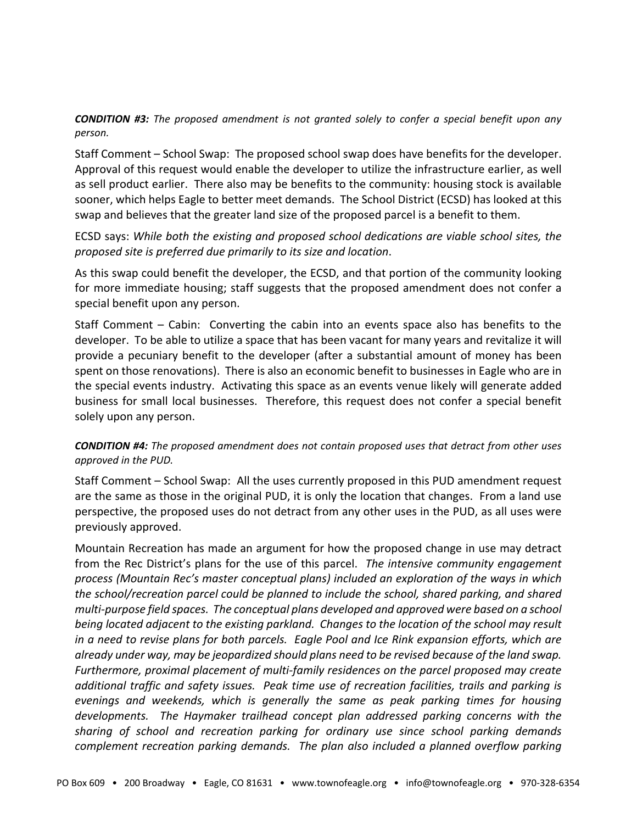*CONDITION #3: The proposed amendment is not granted solely to confer a special benefit upon any person.*

Staff Comment – School Swap: The proposed school swap does have benefits for the developer. Approval of this request would enable the developer to utilize the infrastructure earlier, as well as sell product earlier. There also may be benefits to the community: housing stock is available sooner, which helps Eagle to better meet demands. The School District (ECSD) has looked at this swap and believes that the greater land size of the proposed parcel is a benefit to them.

## ECSD says: *While both the existing and proposed school dedications are viable school sites, the proposed site is preferred due primarily to its size and location*.

As this swap could benefit the developer, the ECSD, and that portion of the community looking for more immediate housing; staff suggests that the proposed amendment does not confer a special benefit upon any person.

Staff Comment – Cabin: Converting the cabin into an events space also has benefits to the developer. To be able to utilize a space that has been vacant for many years and revitalize it will provide a pecuniary benefit to the developer (after a substantial amount of money has been spent on those renovations). There is also an economic benefit to businesses in Eagle who are in the special events industry. Activating this space as an events venue likely will generate added business for small local businesses. Therefore, this request does not confer a special benefit solely upon any person.

#### *CONDITION #4: The proposed amendment does not contain proposed uses that detract from other uses approved in the PUD.*

Staff Comment – School Swap: All the uses currently proposed in this PUD amendment request are the same as those in the original PUD, it is only the location that changes. From a land use perspective, the proposed uses do not detract from any other uses in the PUD, as all uses were previously approved.

Mountain Recreation has made an argument for how the proposed change in use may detract from the Rec District's plans for the use of this parcel. *The intensive community engagement process (Mountain Rec's master conceptual plans) included an exploration of the ways in which the school/recreation parcel could be planned to include the school, shared parking, and shared multi‐purpose field spaces. The conceptual plans developed and approved were based on a school being located adjacent to the existing parkland. Changes to the location of the school may result* in a need to revise plans for both parcels. Eagle Pool and Ice Rink expansion efforts, which are *already under way, may be jeopardized should plans need to be revised because of the land swap. Furthermore, proximal placement of multi‐family residences on the parcel proposed may create additional traffic and safety issues. Peak time use of recreation facilities, trails and parking is evenings and weekends, which is generally the same as peak parking times for housing developments. The Haymaker trailhead concept plan addressed parking concerns with the sharing of school and recreation parking for ordinary use since school parking demands complement recreation parking demands. The plan also included a planned overflow parking*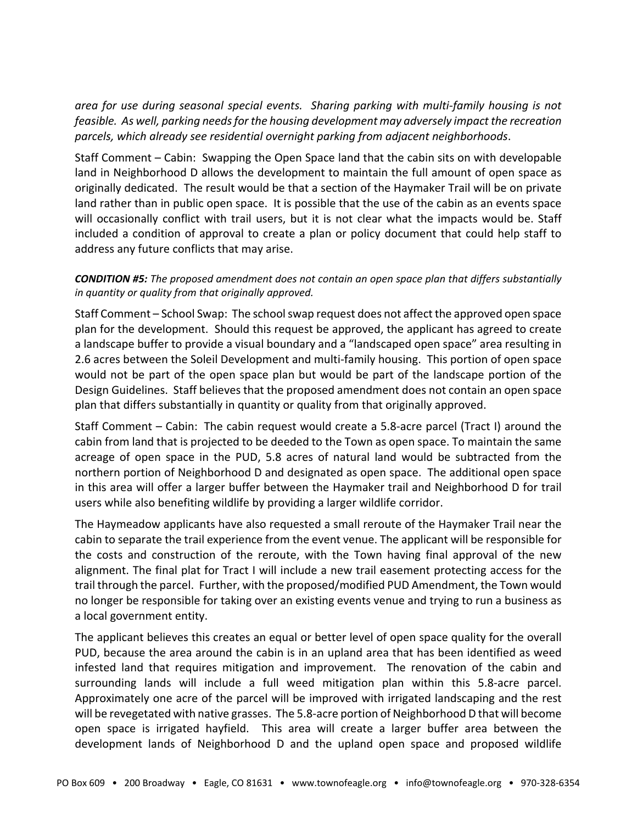*area for use during seasonal special events. Sharing parking with multi‐family housing is not feasible. As well, parking needsfor the housing development may adversely impact the recreation parcels, which already see residential overnight parking from adjacent neighborhoods*.

Staff Comment – Cabin: Swapping the Open Space land that the cabin sits on with developable land in Neighborhood D allows the development to maintain the full amount of open space as originally dedicated. The result would be that a section of the Haymaker Trail will be on private land rather than in public open space. It is possible that the use of the cabin as an events space will occasionally conflict with trail users, but it is not clear what the impacts would be. Staff included a condition of approval to create a plan or policy document that could help staff to address any future conflicts that may arise.

# *CONDITION #5: The proposed amendment does not contain an open space plan that differs substantially in quantity or quality from that originally approved.*

Staff Comment – School Swap: The school swap request does not affect the approved open space plan for the development. Should this request be approved, the applicant has agreed to create a landscape buffer to provide a visual boundary and a "landscaped open space" area resulting in 2.6 acres between the Soleil Development and multi‐family housing. This portion of open space would not be part of the open space plan but would be part of the landscape portion of the Design Guidelines. Staff believes that the proposed amendment does not contain an open space plan that differs substantially in quantity or quality from that originally approved.

Staff Comment – Cabin: The cabin request would create a 5.8‐acre parcel (Tract I) around the cabin from land that is projected to be deeded to the Town as open space. To maintain the same acreage of open space in the PUD, 5.8 acres of natural land would be subtracted from the northern portion of Neighborhood D and designated as open space. The additional open space in this area will offer a larger buffer between the Haymaker trail and Neighborhood D for trail users while also benefiting wildlife by providing a larger wildlife corridor.

The Haymeadow applicants have also requested a small reroute of the Haymaker Trail near the cabin to separate the trail experience from the event venue. The applicant will be responsible for the costs and construction of the reroute, with the Town having final approval of the new alignment. The final plat for Tract I will include a new trail easement protecting access for the trail through the parcel. Further, with the proposed/modified PUD Amendment, the Town would no longer be responsible for taking over an existing events venue and trying to run a business as a local government entity.

The applicant believes this creates an equal or better level of open space quality for the overall PUD, because the area around the cabin is in an upland area that has been identified as weed infested land that requires mitigation and improvement. The renovation of the cabin and surrounding lands will include a full weed mitigation plan within this 5.8‐acre parcel. Approximately one acre of the parcel will be improved with irrigated landscaping and the rest will be revegetated with native grasses. The 5.8-acre portion of Neighborhood D that will become open space is irrigated hayfield. This area will create a larger buffer area between the development lands of Neighborhood D and the upland open space and proposed wildlife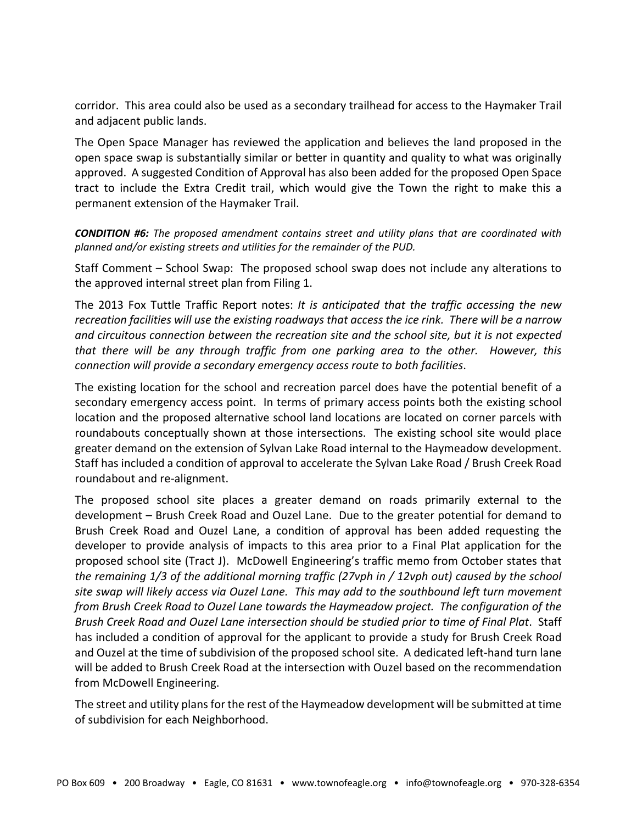corridor. This area could also be used as a secondary trailhead for access to the Haymaker Trail and adjacent public lands.

The Open Space Manager has reviewed the application and believes the land proposed in the open space swap is substantially similar or better in quantity and quality to what was originally approved. A suggested Condition of Approval has also been added for the proposed Open Space tract to include the Extra Credit trail, which would give the Town the right to make this a permanent extension of the Haymaker Trail.

*CONDITION #6: The proposed amendment contains street and utility plans that are coordinated with planned and/or existing streets and utilities for the remainder of the PUD.*

Staff Comment – School Swap: The proposed school swap does not include any alterations to the approved internal street plan from Filing 1.

The 2013 Fox Tuttle Traffic Report notes: *It is anticipated that the traffic accessing the new* recreation facilities will use the existing roadways that access the ice rink. There will be a narrow *and circuitous connection between the recreation site and the school site, but it is not expected that there will be any through traffic from one parking area to the other. However, this connection will provide a secondary emergency access route to both facilities*.

The existing location for the school and recreation parcel does have the potential benefit of a secondary emergency access point. In terms of primary access points both the existing school location and the proposed alternative school land locations are located on corner parcels with roundabouts conceptually shown at those intersections. The existing school site would place greater demand on the extension of Sylvan Lake Road internal to the Haymeadow development. Staff has included a condition of approval to accelerate the Sylvan Lake Road / Brush Creek Road roundabout and re‐alignment.

The proposed school site places a greater demand on roads primarily external to the development – Brush Creek Road and Ouzel Lane. Due to the greater potential for demand to Brush Creek Road and Ouzel Lane, a condition of approval has been added requesting the developer to provide analysis of impacts to this area prior to a Final Plat application for the proposed school site (Tract J). McDowell Engineering's traffic memo from October states that *the remaining 1/3 of the additional morning traffic (27vph in / 12vph out) caused by the school site swap will likely access via Ouzel Lane. This may add to the southbound left turn movement from Brush Creek Road to Ouzel Lane towards the Haymeadow project. The configuration of the Brush Creek Road and Ouzel Lane intersection should be studied prior to time of Final Plat*. Staff has included a condition of approval for the applicant to provide a study for Brush Creek Road and Ouzel at the time of subdivision of the proposed school site. A dedicated left-hand turn lane will be added to Brush Creek Road at the intersection with Ouzel based on the recommendation from McDowell Engineering.

The street and utility plans for the rest of the Haymeadow development will be submitted at time of subdivision for each Neighborhood.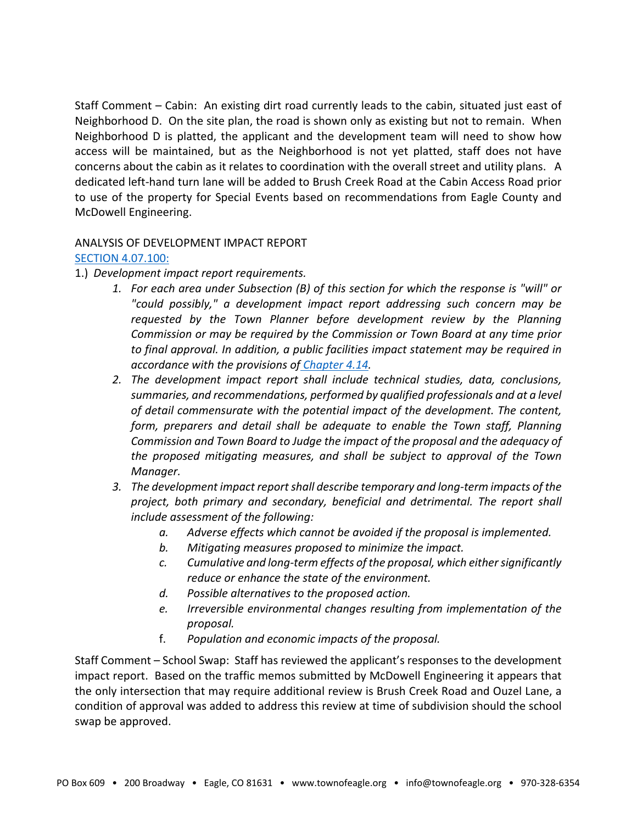Staff Comment – Cabin: An existing dirt road currently leads to the cabin, situated just east of Neighborhood D. On the site plan, the road is shown only as existing but not to remain. When Neighborhood D is platted, the applicant and the development team will need to show how access will be maintained, but as the Neighborhood is not yet platted, staff does not have concerns about the cabin as it relates to coordination with the overall street and utility plans. A dedicated left‐hand turn lane will be added to Brush Creek Road at the Cabin Access Road prior to use of the property for Special Events based on recommendations from Eagle County and McDowell Engineering.

#### ANALYSIS OF DEVELOPMENT IMPACT REPORT

#### SECTION 4.07.100:

- 1.) *Development impact report requirements.*
	- *1. For each area under Subsection (B) of this section for which the response is "will" or "could possibly," a development impact report addressing such concern may be requested by the Town Planner before development review by the Planning Commission or may be required by the Commission or Town Board at any time prior to final approval. In addition, a public facilities impact statement may be required in accordance with the provisions of Chapter 4.14.*
	- *2. The development impact report shall include technical studies, data, conclusions, summaries, and recommendations, performed by qualified professionals and at a level of detail commensurate with the potential impact of the development. The content, form, preparers and detail shall be adequate to enable the Town staff, Planning Commission and Town Board to Judge the impact of the proposal and the adequacy of the proposed mitigating measures, and shall be subject to approval of the Town Manager.*
	- *3. The development impact reportshall describe temporary and long‐term impacts of the project, both primary and secondary, beneficial and detrimental. The report shall include assessment of the following:*
		- *a. Adverse effects which cannot be avoided if the proposal is implemented.*
		- *b. Mitigating measures proposed to minimize the impact.*
		- *c. Cumulative and long‐term effects of the proposal, which eithersignificantly reduce or enhance the state of the environment.*
		- *d. Possible alternatives to the proposed action.*
		- *e. Irreversible environmental changes resulting from implementation of the proposal.*
		- f. *Population and economic impacts of the proposal.*

Staff Comment – School Swap: Staff has reviewed the applicant's responses to the development impact report. Based on the traffic memos submitted by McDowell Engineering it appears that the only intersection that may require additional review is Brush Creek Road and Ouzel Lane, a condition of approval was added to address this review at time of subdivision should the school swap be approved.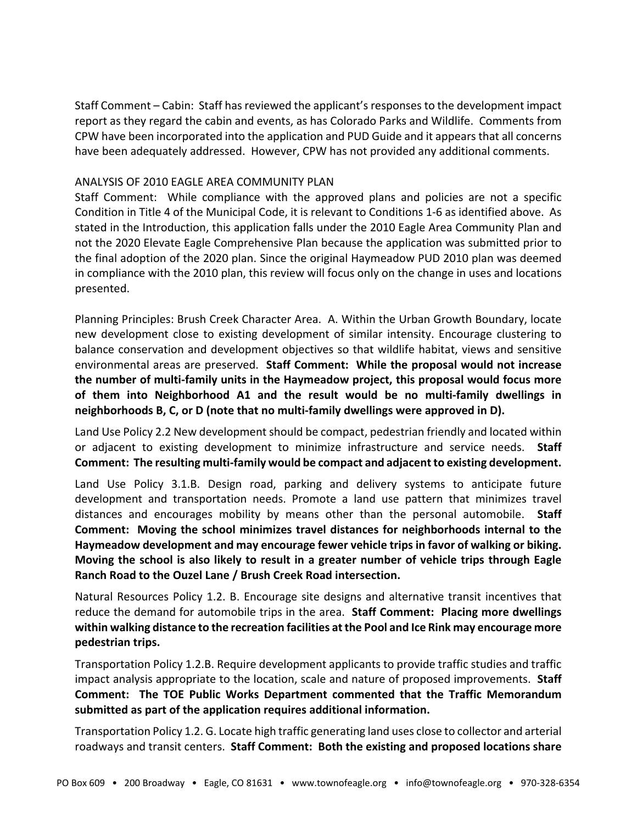Staff Comment – Cabin: Staff has reviewed the applicant's responses to the development impact report as they regard the cabin and events, as has Colorado Parks and Wildlife. Comments from CPW have been incorporated into the application and PUD Guide and it appearsthat all concerns have been adequately addressed. However, CPW has not provided any additional comments.

#### ANALYSIS OF 2010 EAGLE AREA COMMUNITY PLAN

Staff Comment: While compliance with the approved plans and policies are not a specific Condition in Title 4 of the Municipal Code, it is relevant to Conditions 1‐6 as identified above. As stated in the Introduction, this application falls under the 2010 Eagle Area Community Plan and not the 2020 Elevate Eagle Comprehensive Plan because the application was submitted prior to the final adoption of the 2020 plan. Since the original Haymeadow PUD 2010 plan was deemed in compliance with the 2010 plan, this review will focus only on the change in uses and locations presented.

Planning Principles: Brush Creek Character Area. A. Within the Urban Growth Boundary, locate new development close to existing development of similar intensity. Encourage clustering to balance conservation and development objectives so that wildlife habitat, views and sensitive environmental areas are preserved. **Staff Comment: While the proposal would not increase the number of multi‐family units in the Haymeadow project, this proposal would focus more of them into Neighborhood A1 and the result would be no multi‐family dwellings in neighborhoods B, C, or D (note that no multi‐family dwellings were approved in D).** 

Land Use Policy 2.2 New development should be compact, pedestrian friendly and located within or adjacent to existing development to minimize infrastructure and service needs. **Staff Comment: The resulting multi‐family would be compact and adjacent to existing development.**

Land Use Policy 3.1.B. Design road, parking and delivery systems to anticipate future development and transportation needs. Promote a land use pattern that minimizes travel distances and encourages mobility by means other than the personal automobile. **Staff Comment: Moving the school minimizes travel distances for neighborhoods internal to the Haymeadow development and may encourage fewer vehicle trips in favor of walking or biking. Moving the school is also likely to result in a greater number of vehicle trips through Eagle Ranch Road to the Ouzel Lane / Brush Creek Road intersection.** 

Natural Resources Policy 1.2. B. Encourage site designs and alternative transit incentives that reduce the demand for automobile trips in the area. **Staff Comment: Placing more dwellings within walking distance to the recreation facilities atthe Pool and Ice Rink may encourage more pedestrian trips.**

Transportation Policy 1.2.B. Require development applicants to provide traffic studies and traffic impact analysis appropriate to the location, scale and nature of proposed improvements. **Staff Comment: The TOE Public Works Department commented that the Traffic Memorandum submitted as part of the application requires additional information.** 

Transportation Policy 1.2. G. Locate high traffic generating land uses close to collector and arterial roadways and transit centers. **Staff Comment: Both the existing and proposed locations share**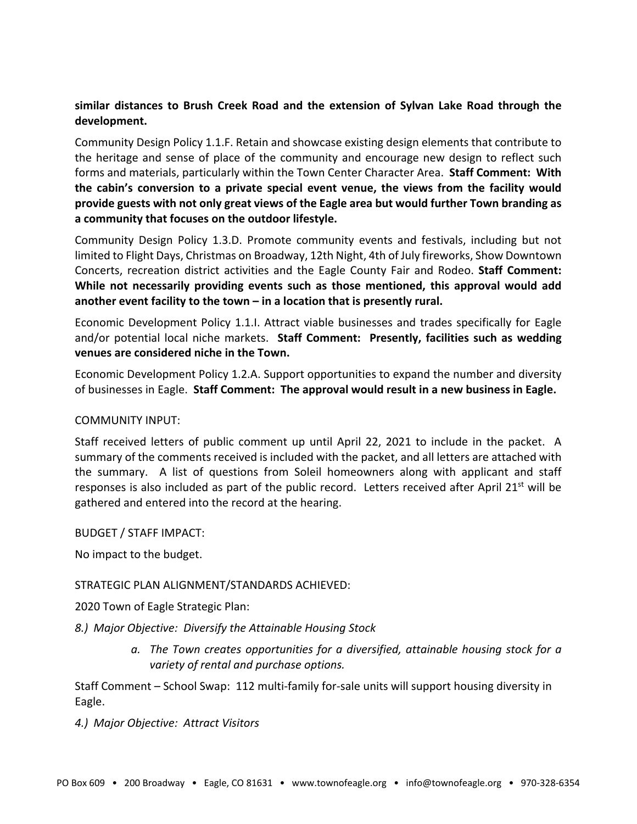# **similar distances to Brush Creek Road and the extension of Sylvan Lake Road through the development.**

Community Design Policy 1.1.F. Retain and showcase existing design elements that contribute to the heritage and sense of place of the community and encourage new design to reflect such forms and materials, particularly within the Town Center Character Area. **Staff Comment: With the cabin's conversion to a private special event venue, the views from the facility would provide guests with not only great views of the Eagle area but would further Town branding as a community that focuses on the outdoor lifestyle.**

Community Design Policy 1.3.D. Promote community events and festivals, including but not limited to Flight Days, Christmas on Broadway, 12th Night, 4th of July fireworks, Show Downtown Concerts, recreation district activities and the Eagle County Fair and Rodeo. **Staff Comment: While not necessarily providing events such as those mentioned, this approval would add another event facility to the town – in a location that is presently rural.** 

Economic Development Policy 1.1.I. Attract viable businesses and trades specifically for Eagle and/or potential local niche markets. **Staff Comment: Presently, facilities such as wedding venues are considered niche in the Town.**

Economic Development Policy 1.2.A. Support opportunities to expand the number and diversity of businesses in Eagle. **Staff Comment: The approval would result in a new business in Eagle.**

## COMMUNITY INPUT:

Staff received letters of public comment up until April 22, 2021 to include in the packet. A summary of the comments received is included with the packet, and all letters are attached with the summary. A list of questions from Soleil homeowners along with applicant and staff responses is also included as part of the public record. Letters received after April 21<sup>st</sup> will be gathered and entered into the record at the hearing.

BUDGET / STAFF IMPACT:

No impact to the budget.

## STRATEGIC PLAN ALIGNMENT/STANDARDS ACHIEVED:

2020 Town of Eagle Strategic Plan:

*8.) Major Objective: Diversify the Attainable Housing Stock*

*a. The Town creates opportunities for a diversified, attainable housing stock for a variety of rental and purchase options.*

Staff Comment – School Swap: 112 multi-family for-sale units will support housing diversity in Eagle.

*4.) Major Objective: Attract Visitors*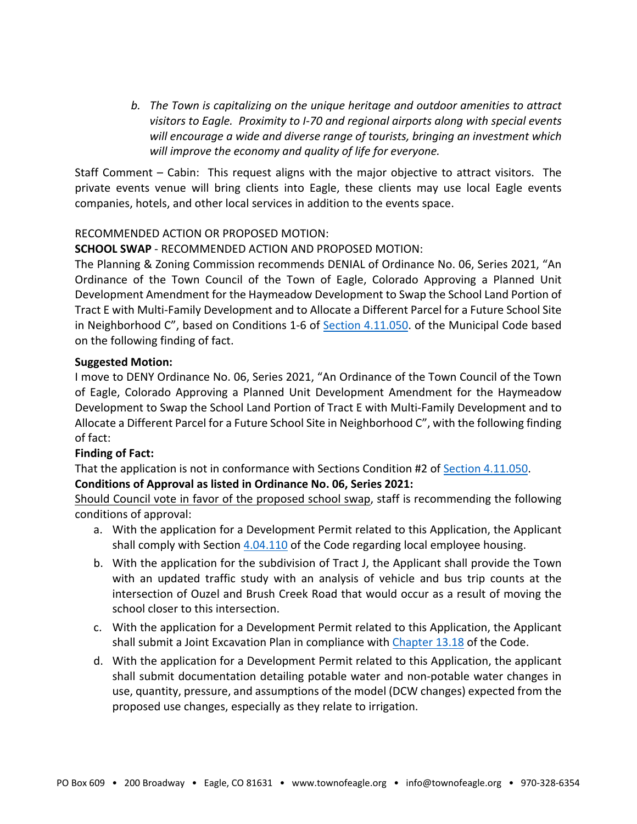*b. The Town is capitalizing on the unique heritage and outdoor amenities to attract visitors to Eagle. Proximity to I‐70 and regional airports along with special events will encourage a wide and diverse range of tourists, bringing an investment which will improve the economy and quality of life for everyone.*

Staff Comment – Cabin: This request aligns with the major objective to attract visitors. The private events venue will bring clients into Eagle, these clients may use local Eagle events companies, hotels, and other local services in addition to the events space.

# RECOMMENDED ACTION OR PROPOSED MOTION:

# **SCHOOL SWAP** ‐ RECOMMENDED ACTION AND PROPOSED MOTION:

The Planning & Zoning Commission recommends DENIAL of Ordinance No. 06, Series 2021, "An Ordinance of the Town Council of the Town of Eagle, Colorado Approving a Planned Unit Development Amendment for the Haymeadow Development to Swap the School Land Portion of Tract E with Multi‐Family Development and to Allocate a Different Parcel for a Future School Site in Neighborhood C", based on Conditions 1-6 of Section 4.11.050. of the Municipal Code based on the following finding of fact.

## **Suggested Motion:**

I move to DENY Ordinance No. 06, Series 2021, "An Ordinance of the Town Council of the Town of Eagle, Colorado Approving a Planned Unit Development Amendment for the Haymeadow Development to Swap the School Land Portion of Tract E with Multi‐Family Development and to Allocate a Different Parcel for a Future School Site in Neighborhood C", with the following finding of fact:

## **Finding of Fact:**

That the application is not in conformance with Sections Condition #2 of Section 4.11.050. **Conditions of Approval as listed in Ordinance No. 06, Series 2021:**

Should Council vote in favor of the proposed school swap, staff is recommending the following conditions of approval:

- a. With the application for a Development Permit related to this Application, the Applicant shall comply with Section 4.04.110 of the Code regarding local employee housing.
- b. With the application for the subdivision of Tract J, the Applicant shall provide the Town with an updated traffic study with an analysis of vehicle and bus trip counts at the intersection of Ouzel and Brush Creek Road that would occur as a result of moving the school closer to this intersection.
- c. With the application for a Development Permit related to this Application, the Applicant shall submit a Joint Excavation Plan in compliance with Chapter 13.18 of the Code.
- d. With the application for a Development Permit related to this Application, the applicant shall submit documentation detailing potable water and non‐potable water changes in use, quantity, pressure, and assumptions of the model (DCW changes) expected from the proposed use changes, especially as they relate to irrigation.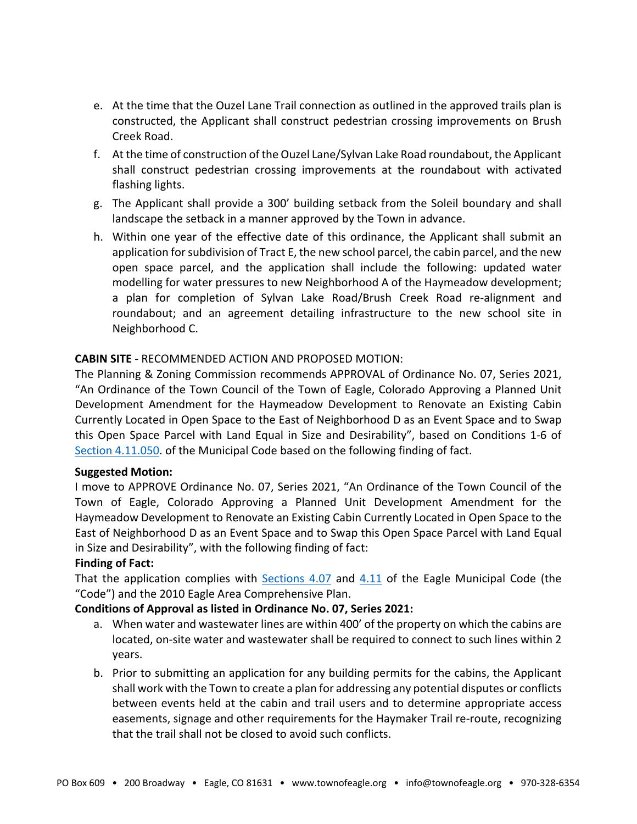- e. At the time that the Ouzel Lane Trail connection as outlined in the approved trails plan is constructed, the Applicant shall construct pedestrian crossing improvements on Brush Creek Road.
- f. At the time of construction of the Ouzel Lane/Sylvan Lake Road roundabout, the Applicant shall construct pedestrian crossing improvements at the roundabout with activated flashing lights.
- g. The Applicant shall provide a 300' building setback from the Soleil boundary and shall landscape the setback in a manner approved by the Town in advance.
- h. Within one year of the effective date of this ordinance, the Applicant shall submit an application for subdivision of Tract E, the new school parcel, the cabin parcel, and the new open space parcel, and the application shall include the following: updated water modelling for water pressures to new Neighborhood A of the Haymeadow development; a plan for completion of Sylvan Lake Road/Brush Creek Road re‐alignment and roundabout; and an agreement detailing infrastructure to the new school site in Neighborhood C.

## **CABIN SITE** ‐ RECOMMENDED ACTION AND PROPOSED MOTION:

The Planning & Zoning Commission recommends APPROVAL of Ordinance No. 07, Series 2021, "An Ordinance of the Town Council of the Town of Eagle, Colorado Approving a Planned Unit Development Amendment for the Haymeadow Development to Renovate an Existing Cabin Currently Located in Open Space to the East of Neighborhood D as an Event Space and to Swap this Open Space Parcel with Land Equal in Size and Desirability", based on Conditions 1‐6 of Section 4.11.050. of the Municipal Code based on the following finding of fact.

## **Suggested Motion:**

I move to APPROVE Ordinance No. 07, Series 2021, "An Ordinance of the Town Council of the Town of Eagle, Colorado Approving a Planned Unit Development Amendment for the Haymeadow Development to Renovate an Existing Cabin Currently Located in Open Space to the East of Neighborhood D as an Event Space and to Swap this Open Space Parcel with Land Equal in Size and Desirability", with the following finding of fact:

## **Finding of Fact:**

That the application complies with Sections 4.07 and 4.11 of the Eagle Municipal Code (the "Code") and the 2010 Eagle Area Comprehensive Plan.

## **Conditions of Approval as listed in Ordinance No. 07, Series 2021:**

- a. When water and wastewater lines are within 400' of the property on which the cabins are located, on‐site water and wastewater shall be required to connect to such lines within 2 years.
- b. Prior to submitting an application for any building permits for the cabins, the Applicant shall work with the Town to create a plan for addressing any potential disputes or conflicts between events held at the cabin and trail users and to determine appropriate access easements, signage and other requirements for the Haymaker Trail re‐route, recognizing that the trail shall not be closed to avoid such conflicts.